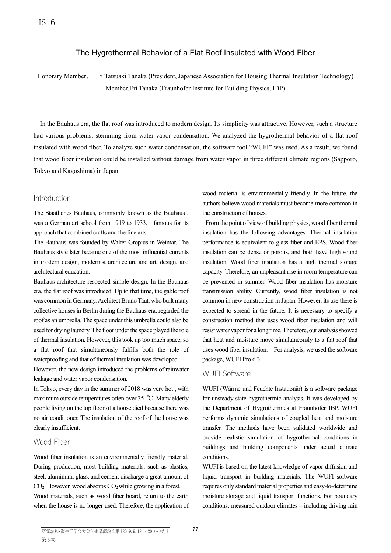# The Hygrothermal Behavior of a Flat Roof Insulated with Wood Fiber

Honorary Member、 † Tatsuaki Tanaka (President, Japanese Association for Housing Thermal Insulation Technology) Member,Eri Tanaka (Fraunhofer Institute for Building Physics, IBP)

In the Bauhaus era, the flat roof was introduced to modern design. Its simplicity was attractive. However, such a structure had various problems, stemming from water vapor condensation. We analyzed the hygrothermal behavior of a flat roof insulated with wood fiber. To analyze such water condensation, the software tool "WUFI" was used. As a result, we found that wood fiber insulation could be installed without damage from water vapor in three different climate regions (Sapporo, Tokyo and Kagoshima) in Japan.

## Introduction

The Staatliches Bauhaus, commonly known as the Bauhaus , was a German art school from 1919 to 1933, famous for its approach that combined crafts and the fine arts.

The Bauhaus was founded by Walter Gropius in Weimar. The Bauhaus style later became one of the most influential currents in modern design, modernist architecture and art, design, and architectural education.

Bauhaus architecture respected simple design. In the Bauhaus era, the flat roof was introduced. Up to that time, the gable roof was common in Germany. Architect Bruno Taut, who built many collective houses in Berlin during the Bauhaus era, regarded the roof as an umbrella. The space under this umbrella could also be used for drying laundry. The floor under the space played the role of thermal insulation. However, this took up too much space, so a flat roof that simultaneously fulfills both the role of waterproofing and that of thermal insulation was developed.

However, the new design introduced the problems of rainwater leakage and water vapor condensation.

In Tokyo, every day in the summer of 2018 was very hot , with maximum outside temperatures often over 35 ℃. Many elderly people living on the top floor of a house died because there was no air conditioner. The insulation of the roof of the house was clearly insufficient.

# Wood Fiber

Wood fiber insulation is an environmentally friendly material. During production, most building materials, such as plastics, steel, aluminum, glass, and cement discharge a great amount of  $CO<sub>2</sub>$ . However, wood absorbs  $CO<sub>2</sub>$  while growing in a forest. Wood materials, such as wood fiber board, return to the earth when the house is no longer used. Therefore, the application of wood material is environmentally friendly. In the future, the authors believe wood materials must become more common in the construction of houses.

From the point of view of building physics, wood fiber thermal insulation has the following advantages. Thermal insulation performance is equivalent to glass fiber and EPS. Wood fiber insulation can be dense or porous, and both have high sound insulation. Wood fiber insulation has a high thermal storage capacity. Therefore, an unpleasant rise in room temperature can be prevented in summer. Wood fiber insulation has moisture transmission ability. Currently, wood fiber insulation is not common in new construction in Japan. However, its use there is expected to spread in the future. It is necessary to specify a construction method that uses wood fiber insulation and will resist water vapor for a long time. Therefore, our analysis showed that heat and moisture move simultaneously to a flat roof that uses wood fiber insulation. For analysis, we used the software package, WUFI Pro 6.3.

#### WUFI Software

WUFI (Wärme und Feuchte Instationär) is a software package for unsteady-state hygrothermic analysis. It was developed by the Department of Hygrothermics at Fraunhofer IBP. WUFI performs dynamic simulations of coupled heat and moisture transfer. The methods have been validated worldwide and provide realistic simulation of hygrothermal conditions in buildings and building components under actual climate conditions.

WUFI is based on the latest knowledge of vapor diffusion and liquid transport in building materials. The WUFI software requires only standard material properties and easy-to-determine moisture storage and liquid transport functions. For boundary conditions, measured outdoor climates – including driving rain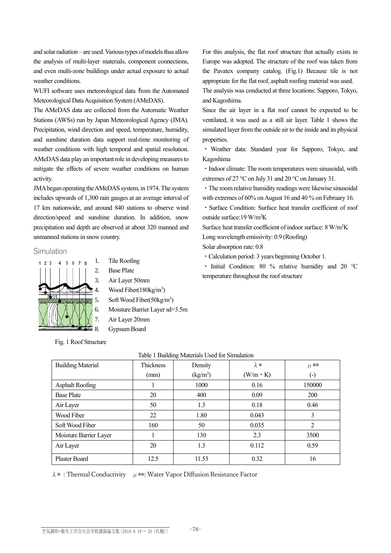and solar radiation – are used. Various types of models thus allow the analysis of multi-layer materials, component connections, and even multi-zone buildings under actual exposure to actual weather conditions.

WUFI software uses meteorological data from the Automated Meteorological Data Acquisition System (AMeDAS).

The AMeDAS data are collected from the Automatic Weather Stations (AWSs) run by Japan Meteorological Agency (JMA). Precipitation, wind direction and speed, temperature, humidity, and sunshine duration data support real-time monitoring of weather conditions with high temporal and spatial resolution. AMeDAS data play an important role in developing measures to mitigate the effects of severe weather conditions on human activity.

JMA began operating the AMeDAS system, in 1974. The system includes upwards of 1,300 rain gauges at an average interval of 17 km nationwide, and around 840 stations to observe wind direction/speed and sunshine duration. In addition, snow precipitation and depth are observed at about 320 manned and unmanned stations in snow country.

#### Simulation



1. Tile Roofing

- 2. Base Plate
- 3. Air Layer 50mm
- 4. Wood Fiber(180kg/m<sup>3</sup>)
- 5. Soft Wood Fiber(50kg/m<sup>3</sup>)
- 6. Moisture Barrier Layer sd=3.5m

#### Fig. 1 Roof Structure

For this analysis, the flat roof structure that actually exists in Europe was adopted. The structure of the roof was taken from the Pavatex company catalog. (Fig.1) Because tile is not appropriate for the flat roof, asphalt roofing material was used.

The analysis was conducted at three locations: Sapporo, Tokyo, and Kagoshima.

Since the air layer in a flat roof cannot be expected to be ventilated, it was used as a still air layer. Table 1 shows the simulated layer from the outside air to the inside and its physical properties.

・ Weather data: Standard year for Sapporo, Tokyo, and Kagoshima

・Indoor climate: The room temperatures were sinusoidal, with extremes of 27 °C on July 31 and 20 °C on January 31.

・The room relative humidity readings were likewise sinusoidal with extremes of 60% on August 16 and 40 % on February 16.

・Surface Condition: Surface heat transfer coefficient of roof outside surface:19 W/m<sup>2</sup>K

Surface heat transfer coefficient of indoor surface: 8 W/m<sup>2</sup>K Long wavelength emissivity: 0.9 (Roofing)

Solar absorption rate: 0.8

・Calculation period: 3 years beginning October 1.

・ Initial Condition: 80 % relative humidity and 20 °C temperature throughout the roof structure

| <b>Building Material</b> | <b>Thickness</b> | Density                        | $\lambda *$     | $\mu$ **           |
|--------------------------|------------------|--------------------------------|-----------------|--------------------|
|                          | (mm)             | $\frac{\text{kg}}{\text{m}^3}$ | $(W/m \cdot K)$ | $(\textnormal{-})$ |
| <b>Asphalt Roofing</b>   |                  | 1000                           | 0.16            | 150000             |
| <b>Base Plate</b>        | 20               | 400                            | 0.09            | 200                |
| Air Layer                | 50               | 1.3                            | 0.18            | 0.46               |
| Wood Fiber               | 22               | 1.80                           | 0.043           | 3                  |
| Soft Wood Fiber          | 160              | 50                             | 0.035           | 2                  |
| Moisture Barrier Layer   |                  | 130                            | 2.3             | 3500               |
| Air Layer                | 20               | 1.3                            | 0.112           | 0.59               |
| <b>Plaster Board</b>     | 12.5             | 11.53                          | 0.32            | 16                 |

Table 1 Building Materials Used for Simulation

 $\lambda$  \*: Thermal Conductivity  $\mu$  \*\*: Water Vapor Diffusion Resistance Factor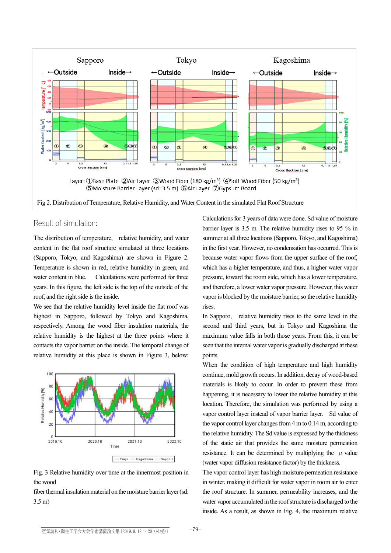

Fig 2. Distribution of Temperature, Relative Humidity, and Water Content in the simulated Flat Roof Structure

### Result of simulation:

The distribution of temperature, relative humidity, and water content in the flat roof structure simulated at three locations (Sapporo, Tokyo, and Kagoshima) are shown in Figure 2. Temperature is shown in red, relative humidity in green, and water content in blue. Calculations were performed for three years. In this figure, the left side is the top of the outside of the roof, and the right side is the inside.

We see that the relative humidity level inside the flat roof was highest in Sapporo, followed by Tokyo and Kagoshima, respectively. Among the wood fiber insulation materials, the relative humidity is the highest at the three points where it contacts the vapor barrier on the inside. The temporal change of relative humidity at this place is shown in Figure 3, below:



Fig. 3 Relative humidity over time at the innermost position in the wood

fiber thermal insulation material on the moisture barrier layer (sd: 3.5 m)

Calculations for 3 years of data were done. Sd value of moisture barrier layer is 3.5 m. The relative humidity rises to 95 % in summer at all three locations (Sapporo, Tokyo, and Kagoshima) in the first year. However, no condensation has occurred. This is because water vapor flows from the upper surface of the roof, which has a higher temperature, and thus, a higher water vapor pressure, toward the room side, which has a lower temperature, and therefore, a lower water vapor pressure. However, this water vapor is blocked by the moisture barrier, so the relative humidity rises.

In Sapporo, relative humidity rises to the same level in the second and third years, but in Tokyo and Kagoshima the maximum value falls in both those years. From this, it can be seen that the internal water vapor is gradually discharged at these points.

When the condition of high temperature and high humidity continue, mold growth occurs. In addition, decay of wood-based materials is likely to occur. In order to prevent these from happening, it is necessary to lower the relative humidity at this location. Therefore, the simulation was performed by using a vapor control layer instead of vapor barrier layer. Sd value of the vapor control layer changes from  $4 \text{ m}$  to  $0.14 \text{ m}$ , according to the relative humidity. The Sd value is expressed by the thickness of the static air that provides the same moisture permeation resistance. It can be determined by multiplying the  $\mu$  value (water vapor diffusion resistance factor) by the thickness.

The vapor control layer has high moisture permeation resistance in winter, making it difficult for water vapor in room air to enter the roof structure. In summer, permeability increases, and the water vapor accumulated in the roof structure is discharged to the inside. As a result, as shown in Fig. 4, the maximum relative